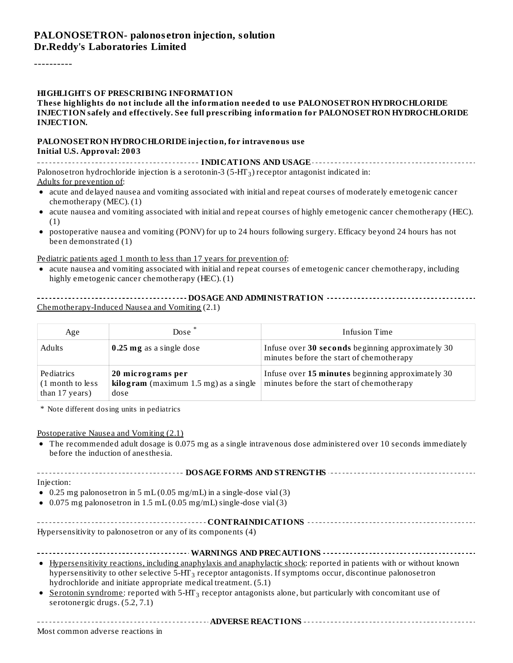#### **PALONOSETRON- palonos etron injection, solution Dr.Reddy's Laboratories Limited**

----------

#### **HIGHLIGHTS OF PRESCRIBING INFORMATION**

#### **These highlights do not include all the information needed to use PALONOSETRON HYDROCHLORIDE INJECTION safely and effectively. See full prescribing information for PALONOSETRON HYDROCHLORIDE INJECTION.**

#### **PALONOSETRON HYDROCHLORIDE injection, for intravenous use Initial U.S. Approval: 2003**

**INDICATIONS AND USAGE INDICATIONS AND USAGE** *CONSIDERATIONS* **AND USAGE** *AND* **USAGE** *AND* **USAGE** *AND AND AND AND AND AND AND AND AND AND AND AND AND AND* Palonosetron hydrochloride injection is a serotonin-3 (5-HT $_{\rm 3}$ ) receptor antagonist indicated in: Adults for prevention of:

- acute and delayed nausea and vomiting associated with initial and repeat courses of moderately emetogenic cancer chemotherapy (MEC). (1)
- acute nausea and vomiting associated with initial and repeat courses of highly emetogenic cancer chemotherapy (HEC).  $\bullet$ (1)
- postoperative nausea and vomiting (PONV) for up to 24 hours following surgery. Efficacy beyond 24 hours has not  $\bullet$ been demonstrated (1)

#### Pediatric patients aged 1 month to less than 17 years for prevention of:

acute nausea and vomiting associated with initial and repeat courses of emetogenic cancer chemotherapy, including  $\bullet$ highly emetogenic cancer chemotherapy (HEC). (1)

#### **DOSAGE AND ADMINISTRATION** Chemotherapy-Induced Nausea and Vomiting (2.1)

| Age                                              | Dose <sup>*</sup>                                                           | <b>Infusion Time</b>                                                                          |
|--------------------------------------------------|-----------------------------------------------------------------------------|-----------------------------------------------------------------------------------------------|
| Adults                                           | 0.25 mg as a single dose                                                    | Infuse over 30 seconds beginning approximately 30<br>minutes before the start of chemotherapy |
| Pediatrics<br>(1 month to less<br>than 17 years) | 20 micrograms per<br><b>kilogram</b> (maximum $1.5$ mg) as a single<br>dose | Infuse over 15 minutes beginning approximately 30<br>minutes before the start of chemotherapy |

\* Note different dosing units in pediatrics

#### Postoperative Nausea and Vomiting (2.1)

The recommended adult dosage is 0.075 mg as a single intravenous dose administered over 10 seconds immediately before the induction of anesthesia.

| Injection: |  |
|------------|--|

- $\bullet$  0.25 mg palonosetron in 5 mL (0.05 mg/mL) in a single-dose vial (3)
- $\bullet$  0.075 mg palonosetron in 1.5 mL (0.05 mg/mL) single-dose vial (3)

| Hypersensitivity to palonosetron or any of its components (4) |
|---------------------------------------------------------------|

| • Hypersensitivity reactions, including anaphylaxis and anaphylactic shock: reported in patients with or without known |  |  |  |  |  |  |  |
|------------------------------------------------------------------------------------------------------------------------|--|--|--|--|--|--|--|

- hypersensitivity to other selective 5-HT $_3$  receptor antagonists. If symptoms occur, discontinue palonosetron hydrochloride and initiate appropriate medical treatment. (5.1)
- $\bullet$ <u>Serotonin syndrome</u>: reported with 5-HT<sub>3</sub> receptor antagonists alone, but particularly with concomitant use of serotonergic drugs. (5.2, 7.1)

**ADVERSE REACTIONS**

Most common adverse reactions in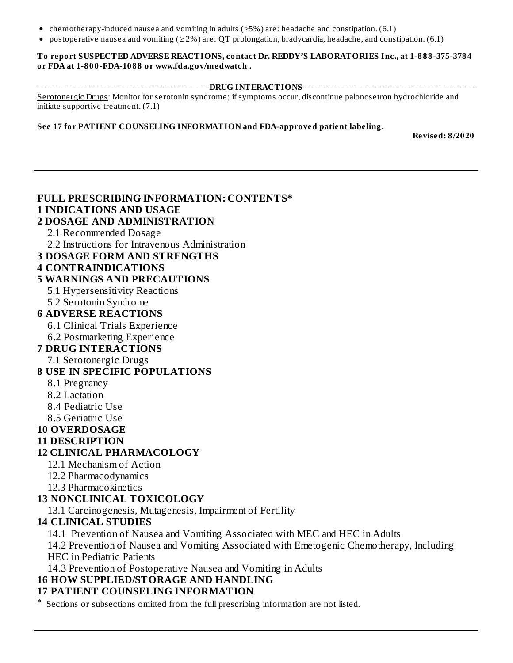- chemotherapy-induced nausea and vomiting in adults ( $\geq$ 5%) are: headache and constipation. (6.1)
- postoperative nausea and vomiting ( $\geq 2\%$ ) are: OT prolongation, bradycardia, headache, and constipation. (6.1)

#### **To report SUSPECTED ADVERSE REACTIONS, contact Dr. REDDY'S LABORATORIES Inc., at 1-888-375-3784 or FDA at 1-800-FDA-1088 or www.fda.gov/medwatch .**

**DRUG INTERACTIONS** Serotonergic Drugs: Monitor for serotonin syndrome; if symptoms occur, discontinue palonosetron hydrochloride and initiate supportive treatment. (7.1)

#### **See 17 for PATIENT COUNSELING INFORMATION and FDA-approved patient labeling.**

**Revised: 8/2020**

#### **FULL PRESCRIBING INFORMATION: CONTENTS\* 1 INDICATIONS AND USAGE 2 DOSAGE AND ADMINISTRATION** 2.1 Recommended Dosage 2.2 Instructions for Intravenous Administration **3 DOSAGE FORM AND STRENGTHS 4 CONTRAINDICATIONS 5 WARNINGS AND PRECAUTIONS** 5.1 Hypersensitivity Reactions 5.2 Serotonin Syndrome **6 ADVERSE REACTIONS** 6.1 Clinical Trials Experience 6.2 Postmarketing Experience **7 DRUG INTERACTIONS** 7.1 Serotonergic Drugs **8 USE IN SPECIFIC POPULATIONS** 8.1 Pregnancy 8.2 Lactation 8.4 Pediatric Use 8.5 Geriatric Use **10 OVERDOSAGE 11 DESCRIPTION 12 CLINICAL PHARMACOLOGY** 12.1 Mechanism of Action 12.2 Pharmacodynamics 12.3 Pharmacokinetics **13 NONCLINICAL TOXICOLOGY** 13.1 Carcinogenesis, Mutagenesis, Impairment of Fertility **14 CLINICAL STUDIES** 14.1 Prevention of Nausea and Vomiting Associated with MEC and HEC in Adults 14.2 Prevention of Nausea and Vomiting Associated with Emetogenic Chemotherapy, Including HEC in Pediatric Patients 14.3 Prevention of Postoperative Nausea and Vomiting in Adults **16 HOW SUPPLIED/STORAGE AND HANDLING 17 PATIENT COUNSELING INFORMATION**

\* Sections or subsections omitted from the full prescribing information are not listed.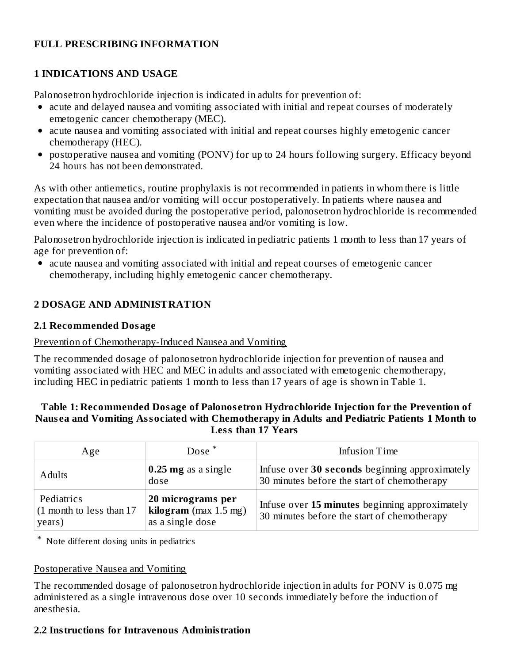#### **FULL PRESCRIBING INFORMATION**

#### **1 INDICATIONS AND USAGE**

Palonosetron hydrochloride injection is indicated in adults for prevention of:

- acute and delayed nausea and vomiting associated with initial and repeat courses of moderately emetogenic cancer chemotherapy (MEC).
- acute nausea and vomiting associated with initial and repeat courses highly emetogenic cancer chemotherapy (HEC).
- postoperative nausea and vomiting (PONV) for up to 24 hours following surgery. Efficacy beyond 24 hours has not been demonstrated.

As with other antiemetics, routine prophylaxis is not recommended in patients in whom there is little expectation that nausea and/or vomiting will occur postoperatively. In patients where nausea and vomiting must be avoided during the postoperative period, palonosetron hydrochloride is recommended even where the incidence of postoperative nausea and/or vomiting is low.

Palonosetron hydrochloride injection is indicated in pediatric patients 1 month to less than 17 years of age for prevention of:

acute nausea and vomiting associated with initial and repeat courses of emetogenic cancer chemotherapy, including highly emetogenic cancer chemotherapy.

### **2 DOSAGE AND ADMINISTRATION**

#### **2.1 Recommended Dosage**

#### Prevention of Chemotherapy-Induced Nausea and Vomiting

The recommended dosage of palonosetron hydrochloride injection for prevention of nausea and vomiting associated with HEC and MEC in adults and associated with emetogenic chemotherapy, including HEC in pediatric patients 1 month to less than 17 years of age is shown in Table 1.

#### **Table 1: Recommended Dosage of Palonos etron Hydrochloride Injection for the Prevention of Naus ea and Vomiting Associated with Chemotherapy in Adults and Pediatric Patients 1 Month to Less than 17 Years**

| Age                                              | Dose <sup>*</sup>                                                | Infusion Time                                                                                 |
|--------------------------------------------------|------------------------------------------------------------------|-----------------------------------------------------------------------------------------------|
| <b>Adults</b>                                    | $0.25$ mg as a single<br>dose                                    | Infuse over 30 seconds beginning approximately<br>30 minutes before the start of chemotherapy |
| Pediatrics<br>(1 month to less than 17<br>years) | 20 micrograms per<br>kilogram $(max 1.5 mg)$<br>as a single dose | Infuse over 15 minutes beginning approximately<br>30 minutes before the start of chemotherapy |

\* Note different dosing units in pediatrics

#### Postoperative Nausea and Vomiting

The recommended dosage of palonosetron hydrochloride injection in adults for PONV is 0.075 mg administered as a single intravenous dose over 10 seconds immediately before the induction of anesthesia.

#### **2.2 Instructions for Intravenous Administration**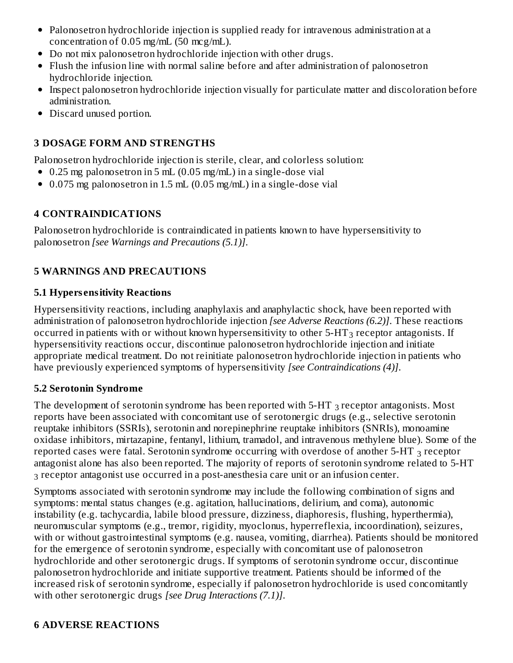- Palonosetron hydrochloride injection is supplied ready for intravenous administration at a concentration of 0.05 mg/mL (50 mcg/mL).
- Do not mix palonosetron hydrochloride injection with other drugs.
- Flush the infusion line with normal saline before and after administration of palonosetron hydrochloride injection.
- Inspect palonosetron hydrochloride injection visually for particulate matter and discoloration before administration.
- Discard unused portion.

### **3 DOSAGE FORM AND STRENGTHS**

Palonosetron hydrochloride injection is sterile, clear, and colorless solution:

- 0.25 mg palonosetron in 5 mL (0.05 mg/mL) in a single-dose vial
- 0.075 mg palonosetron in 1.5 mL (0.05 mg/mL) in a single-dose vial

### **4 CONTRAINDICATIONS**

Palonosetron hydrochloride is contraindicated in patients known to have hypersensitivity to palonosetron *[see Warnings and Precautions (5.1)]*.

### **5 WARNINGS AND PRECAUTIONS**

#### **5.1 Hypers ensitivity Reactions**

Hypersensitivity reactions, including anaphylaxis and anaphylactic shock, have been reported with administration of palonosetron hydrochloride injection *[see Adverse Reactions (6.2)]*. These reactions occurred in patients with or without known hypersensitivity to other 5-HT $_3$  receptor antagonists. If hypersensitivity reactions occur, discontinue palonosetron hydrochloride injection and initiate appropriate medical treatment. Do not reinitiate palonosetron hydrochloride injection in patients who have previously experienced symptoms of hypersensitivity *[see Contraindications (4)]*.

### **5.2 Serotonin Syndrome**

The development of serotonin syndrome has been reported with 5-HT  $_3$  receptor antagonists. Most reports have been associated with concomitant use of serotonergic drugs (e.g., selective serotonin reuptake inhibitors (SSRIs), serotonin and norepinephrine reuptake inhibitors (SNRIs), monoamine oxidase inhibitors, mirtazapine, fentanyl, lithium, tramadol, and intravenous methylene blue). Some of the reported cases were fatal. Serotonin syndrome occurring with overdose of another 5-HT  $_3$  receptor antagonist alone has also been reported. The majority of reports of serotonin syndrome related to 5-HT  $_3$  receptor antagonist use occurred in a post-anesthesia care unit or an infusion center.

Symptoms associated with serotonin syndrome may include the following combination of signs and symptoms: mental status changes (e.g. agitation, hallucinations, delirium, and coma), autonomic instability (e.g. tachycardia, labile blood pressure, dizziness, diaphoresis, flushing, hyperthermia), neuromuscular symptoms (e.g., tremor, rigidity, myoclonus, hyperreflexia, incoordination), seizures, with or without gastrointestinal symptoms (e.g. nausea, vomiting, diarrhea). Patients should be monitored for the emergence of serotonin syndrome, especially with concomitant use of palonosetron hydrochloride and other serotonergic drugs. If symptoms of serotonin syndrome occur, discontinue palonosetron hydrochloride and initiate supportive treatment. Patients should be informed of the increased risk of serotonin syndrome, especially if palonosetron hydrochloride is used concomitantly with other serotonergic drugs *[see Drug Interactions (7.1)]*.

#### **6 ADVERSE REACTIONS**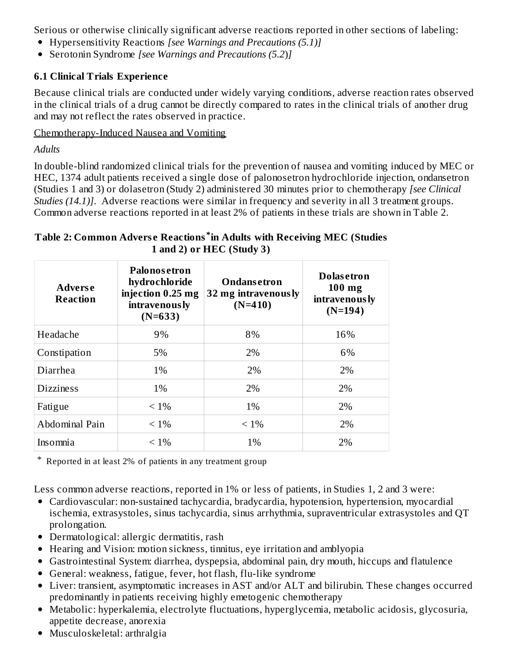Serious or otherwise clinically significant adverse reactions reported in other sections of labeling:

- Hypersensitivity Reactions *[see Warnings and Precautions (5.1)]*
- Serotonin Syndrome *[see Warnings and Precautions (5.2*)*]*

#### **6.1 Clinical Trials Experience**

Because clinical trials are conducted under widely varying conditions, adverse reaction rates observed in the clinical trials of a drug cannot be directly compared to rates in the clinical trials of another drug and may not reflect the rates observed in practice.

#### Chemotherapy-Induced Nausea and Vomiting

*Adults*

In double-blind randomized clinical trials for the prevention of nausea and vomiting induced by MEC or HEC, 1374 adult patients received a single dose of palonosetron hydrochloride injection, ondansetron (Studies 1 and 3) or dolasetron (Study 2) administered 30 minutes prior to chemotherapy *[see Clinical Studies* (14.1)]. Adverse reactions were similar in frequency and severity in all 3 treatment groups. Common adverse reactions reported in at least 2% of patients in these trials are shown in Table 2.

#### **Table 2: Common Advers e Reactions in Adults with Receiving MEC (Studies \* 1 and 2) or HEC (Study 3)**

| <b>Adverse</b><br>Reaction | Palonosetron<br>hydrochloride<br>injection 0.25 mg<br>32 mg intravenously<br>intravenously<br>$(N=633)$ |         | <b>Dolasetron</b><br>$100$ mg<br>intravenously<br>$(N=194)$ |
|----------------------------|---------------------------------------------------------------------------------------------------------|---------|-------------------------------------------------------------|
| Headache                   | 9%                                                                                                      | 8%      | 16%                                                         |
| Constipation               | 5%                                                                                                      | 2%      | 6%                                                          |
| Diarrhea                   | 1%                                                                                                      | 2%      | 2%                                                          |
| <b>Dizziness</b>           | 1%                                                                                                      | 2%      | 2%                                                          |
| Fatigue                    | $< 1\%$                                                                                                 | 1%      | 2%                                                          |
| Abdominal Pain             | $< 1\%$                                                                                                 | $< 1\%$ | 2%                                                          |
| Insomnia                   | $< 1\%$                                                                                                 | 1%      | 2%                                                          |

\* Reported in at least 2% of patients in any treatment group

Less common adverse reactions, reported in 1% or less of patients, in Studies 1, 2 and 3 were:

- Cardiovascular: non-sustained tachycardia, bradycardia, hypotension, hypertension, myocardial ischemia, extrasystoles, sinus tachycardia, sinus arrhythmia, supraventricular extrasystoles and QT prolongation.
- Dermatological: allergic dermatitis, rash
- Hearing and Vision: motion sickness, tinnitus, eye irritation and amblyopia
- Gastrointestinal System: diarrhea, dyspepsia, abdominal pain, dry mouth, hiccups and flatulence
- General: weakness, fatigue, fever, hot flash, flu-like syndrome
- Liver: transient, asymptomatic increases in AST and/or ALT and bilirubin. These changes occurred predominantly in patients receiving highly emetogenic chemotherapy
- Metabolic: hyperkalemia, electrolyte fluctuations, hyperglycemia, metabolic acidosis, glycosuria, appetite decrease, anorexia
- Musculoskeletal: arthralgia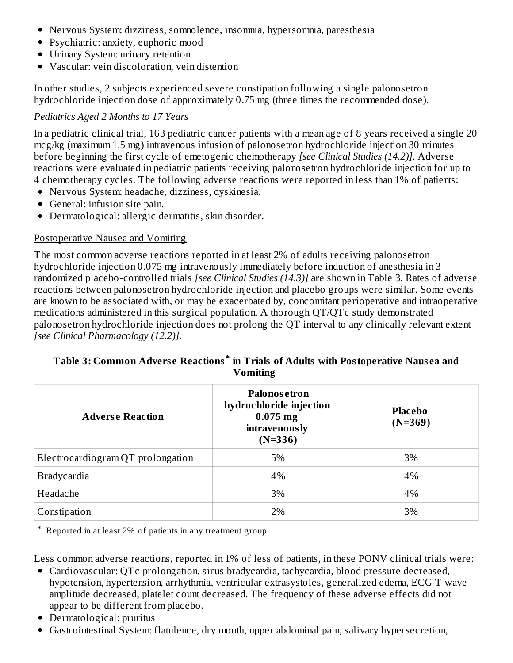- Nervous System: dizziness, somnolence, insomnia, hypersomnia, paresthesia
- Psychiatric: anxiety, euphoric mood
- Urinary System: urinary retention
- Vascular: vein discoloration, vein distention

In other studies, 2 subjects experienced severe constipation following a single palonosetron hydrochloride injection dose of approximately 0.75 mg (three times the recommended dose).

#### *Pediatrics Aged 2 Months to 17 Years*

In a pediatric clinical trial, 163 pediatric cancer patients with a mean age of 8 years received a single 20 mcg/kg (maximum 1.5 mg) intravenous infusion of palonosetron hydrochloride injection 30 minutes before beginning the first cycle of emetogenic chemotherapy *[see Clinical Studies (14.2)]*. Adverse reactions were evaluated in pediatric patients receiving palonosetron hydrochloride injection for up to 4 chemotherapy cycles. The following adverse reactions were reported in less than 1% of patients:

- Nervous System: headache, dizziness, dyskinesia.
- General: infusion site pain.
- Dermatological: allergic dermatitis, skin disorder.

#### Postoperative Nausea and Vomiting

The most common adverse reactions reported in at least 2% of adults receiving palonosetron hydrochloride injection 0.075 mg intravenously immediately before induction of anesthesia in 3 randomized placebo-controlled trials *[see Clinical Studies (14.3)]* are shown in Table 3. Rates of adverse reactions between palonosetron hydrochloride injection and placebo groups were similar. Some events are known to be associated with, or may be exacerbated by, concomitant perioperative and intraoperative medications administered in this surgical population. A thorough QT/QTc study demonstrated palonosetron hydrochloride injection does not prolong the QT interval to any clinically relevant extent *[see Clinical Pharmacology (12.2)]*.

#### **Table 3: Common Advers e Reactions in Trials of Adults with Postoperative Naus ea and \* Vomiting**

| <b>Adverse Reaction</b>           | Palonosetron<br>hydrochloride injection<br>$0.075$ mg<br><b>intravenously</b><br>$(N=336)$ | <b>Placebo</b><br>$(N=369)$ |
|-----------------------------------|--------------------------------------------------------------------------------------------|-----------------------------|
| Electrocardiogram QT prolongation | 5%                                                                                         | 3%                          |
| <b>Bradycardia</b>                | 4%                                                                                         | 4%                          |
| Headache                          | 3%                                                                                         | 4%                          |
| Constipation                      | 2%                                                                                         | 3%                          |

\* Reported in at least 2% of patients in any treatment group

Less common adverse reactions, reported in 1% of less of patients, in these PONV clinical trials were:

- Cardiovascular: QTc prolongation, sinus bradycardia, tachycardia, blood pressure decreased, hypotension, hypertension, arrhythmia, ventricular extrasystoles, generalized edema, ECG T wave amplitude decreased, platelet count decreased. The frequency of these adverse effects did not appear to be different from placebo.
- Dermatological: pruritus
- Gastrointestinal System: flatulence, dry mouth, upper abdominal pain, salivary hypersecretion,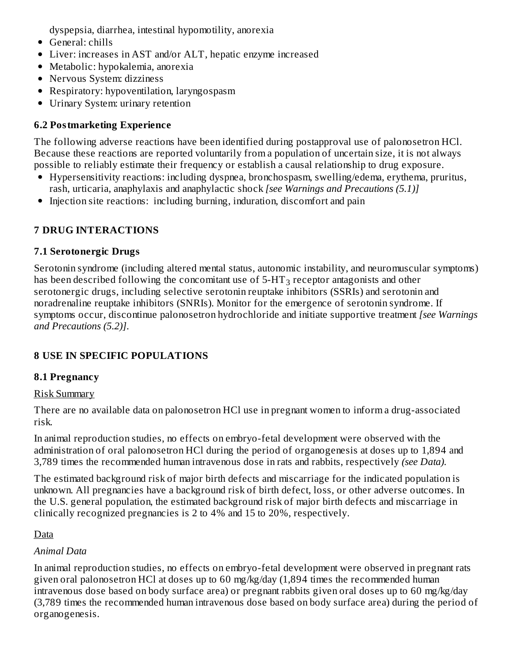dyspepsia, diarrhea, intestinal hypomotility, anorexia

- General: chills
- Liver: increases in AST and/or ALT, hepatic enzyme increased
- Metabolic: hypokalemia, anorexia
- Nervous System: dizziness
- Respiratory: hypoventilation, laryngospasm
- Urinary System: urinary retention

## **6.2 Postmarketing Experience**

The following adverse reactions have been identified during postapproval use of palonosetron HCl. Because these reactions are reported voluntarily from a population of uncertain size, it is not always possible to reliably estimate their frequency or establish a causal relationship to drug exposure.

- Hypersensitivity reactions: including dyspnea, bronchospasm, swelling/edema, erythema, pruritus, rash, urticaria, anaphylaxis and anaphylactic shock *[see Warnings and Precautions (5.1)]*
- Injection site reactions: including burning, induration, discomfort and pain

## **7 DRUG INTERACTIONS**

## **7.1 Serotonergic Drugs**

Serotonin syndrome (including altered mental status, autonomic instability, and neuromuscular symptoms) has been described following the concomitant use of 5-HT $_3$  receptor antagonists and other serotonergic drugs, including selective serotonin reuptake inhibitors (SSRIs) and serotonin and noradrenaline reuptake inhibitors (SNRIs). Monitor for the emergence of serotonin syndrome. If symptoms occur, discontinue palonosetron hydrochloride and initiate supportive treatment *[see Warnings and Precautions (5.2)]*.

## **8 USE IN SPECIFIC POPULATIONS**

## **8.1 Pregnancy**

## Risk Summary

There are no available data on palonosetron HCl use in pregnant women to inform a drug-associated risk.

In animal reproduction studies, no effects on embryo-fetal development were observed with the administration of oral palonosetron HCl during the period of organogenesis at doses up to 1,894 and 3,789 times the recommended human intravenous dose in rats and rabbits, respectively *(see Data).*

The estimated background risk of major birth defects and miscarriage for the indicated population is unknown. All pregnancies have a background risk of birth defect, loss, or other adverse outcomes. In the U.S. general population, the estimated background risk of major birth defects and miscarriage in clinically recognized pregnancies is 2 to 4% and 15 to 20%, respectively.

## Data

## *Animal Data*

In animal reproduction studies, no effects on embryo-fetal development were observed in pregnant rats given oral palonosetron HCl at doses up to 60 mg/kg/day (1,894 times the recommended human intravenous dose based on body surface area) or pregnant rabbits given oral doses up to 60 mg/kg/day (3,789 times the recommended human intravenous dose based on body surface area) during the period of organogenesis.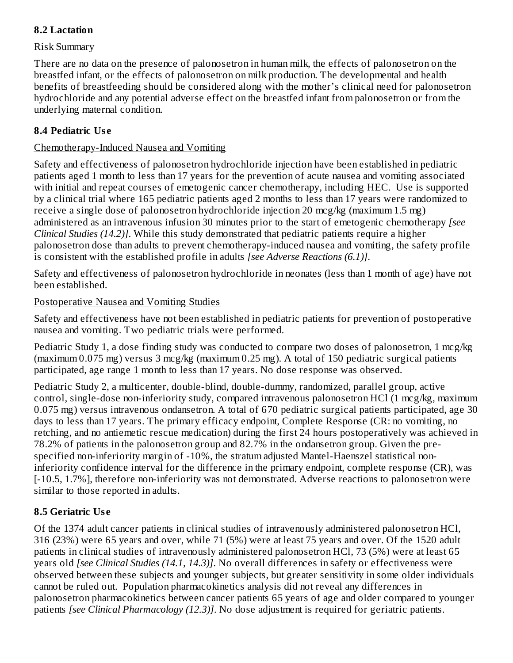#### **8.2 Lactation**

#### Risk Summary

There are no data on the presence of palonosetron in human milk, the effects of palonosetron on the breastfed infant, or the effects of palonosetron on milk production. The developmental and health benefits of breastfeeding should be considered along with the mother's clinical need for palonosetron hydrochloride and any potential adverse effect on the breastfed infant from palonosetron or from the underlying maternal condition.

#### **8.4 Pediatric Us e**

#### Chemotherapy-Induced Nausea and Vomiting

Safety and effectiveness of palonosetron hydrochloride injection have been established in pediatric patients aged 1 month to less than 17 years for the prevention of acute nausea and vomiting associated with initial and repeat courses of emetogenic cancer chemotherapy, including HEC. Use is supported by a clinical trial where 165 pediatric patients aged 2 months to less than 17 years were randomized to receive a single dose of palonosetron hydrochloride injection 20 mcg/kg (maximum 1.5 mg) administered as an intravenous infusion 30 minutes prior to the start of emetogenic chemotherapy *[see Clinical Studies (14.2)]*. While this study demonstrated that pediatric patients require a higher palonosetron dose than adults to prevent chemotherapy-induced nausea and vomiting, the safety profile is consistent with the established profile in adults *[see Adverse Reactions (6.1)]*.

Safety and effectiveness of palonosetron hydrochloride in neonates (less than 1 month of age) have not been established.

#### Postoperative Nausea and Vomiting Studies

Safety and effectiveness have not been established in pediatric patients for prevention of postoperative nausea and vomiting. Two pediatric trials were performed.

Pediatric Study 1, a dose finding study was conducted to compare two doses of palonosetron, 1 mcg/kg (maximum 0.075 mg) versus 3 mcg/kg (maximum 0.25 mg). A total of 150 pediatric surgical patients participated, age range 1 month to less than 17 years. No dose response was observed.

Pediatric Study 2, a multicenter, double-blind, double-dummy, randomized, parallel group, active control, single-dose non-inferiority study, compared intravenous palonosetron HCl (1 mcg/kg, maximum 0.075 mg) versus intravenous ondansetron. A total of 670 pediatric surgical patients participated, age 30 days to less than 17 years. The primary efficacy endpoint, Complete Response (CR: no vomiting, no retching, and no antiemetic rescue medication) during the first 24 hours postoperatively was achieved in 78.2% of patients in the palonosetron group and 82.7% in the ondansetron group. Given the prespecified non-inferiority margin of -10%, the stratum adjusted Mantel-Haenszel statistical noninferiority confidence interval for the difference in the primary endpoint, complete response (CR), was [-10.5, 1.7%], therefore non-inferiority was not demonstrated. Adverse reactions to palonosetron were similar to those reported in adults.

### **8.5 Geriatric Us e**

Of the 1374 adult cancer patients in clinical studies of intravenously administered palonosetron HCl, 316 (23%) were 65 years and over, while 71 (5%) were at least 75 years and over. Of the 1520 adult patients in clinical studies of intravenously administered palonosetron HCl, 73 (5%) were at least 65 years old *[see Clinical Studies (14.1, 14.3)]*. No overall differences in safety or effectiveness were observed between these subjects and younger subjects, but greater sensitivity in some older individuals cannot be ruled out. Population pharmacokinetics analysis did not reveal any differences in palonosetron pharmacokinetics between cancer patients 65 years of age and older compared to younger patients *[see Clinical Pharmacology (12.3)]*. No dose adjustment is required for geriatric patients.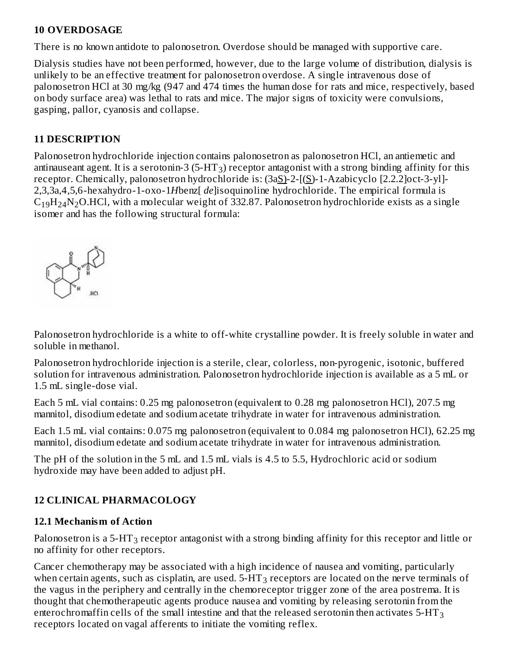#### **10 OVERDOSAGE**

There is no known antidote to palonosetron. Overdose should be managed with supportive care.

Dialysis studies have not been performed, however, due to the large volume of distribution, dialysis is unlikely to be an effective treatment for palonosetron overdose. A single intravenous dose of palonosetron HCl at 30 mg/kg (947 and 474 times the human dose for rats and mice, respectively, based on body surface area) was lethal to rats and mice. The major signs of toxicity were convulsions, gasping, pallor, cyanosis and collapse.

#### **11 DESCRIPTION**

Palonosetron hydrochloride injection contains palonosetron as palonosetron HCl, an antiemetic and antinauseant agent. It is a serotonin-3 (5-HT<sub>3</sub>) receptor antagonist with a strong binding affinity for this receptor. Chemically, palonosetron hydrochloride is: (3aS)-2-[(S)-1-Azabicyclo [2.2.2]oct-3-yl]-2,3,3a,4,5,6-hexahydro-1-oxo-1*H*benz[ *de*]isoquinoline hydrochloride. The empirical formula is  $\rm{C_{19}H_{24}N_{2}O}$ .HCl, with a molecular weight of 332.87. Palonosetron hydrochloride exists as a single isomer and has the following structural formula:



Palonosetron hydrochloride is a white to off-white crystalline powder. It is freely soluble in water and soluble in methanol.

Palonosetron hydrochloride injection is a sterile, clear, colorless, non-pyrogenic, isotonic, buffered solution for intravenous administration. Palonosetron hydrochloride injection is available as a 5 mL or 1.5 mL single-dose vial.

Each 5 mL vial contains: 0.25 mg palonosetron (equivalent to 0.28 mg palonosetron HCl), 207.5 mg mannitol, disodium edetate and sodium acetate trihydrate in water for intravenous administration.

Each 1.5 mL vial contains: 0.075 mg palonosetron (equivalent to 0.084 mg palonosetron HCl), 62.25 mg mannitol, disodium edetate and sodium acetate trihydrate in water for intravenous administration.

The pH of the solution in the 5 mL and 1.5 mL vials is 4.5 to 5.5, Hydrochloric acid or sodium hydroxide may have been added to adjust pH.

### **12 CLINICAL PHARMACOLOGY**

#### **12.1 Mechanism of Action**

Palonosetron is a 5-HT $_3$  receptor antagonist with a strong binding affinity for this receptor and little or no affinity for other receptors.

Cancer chemotherapy may be associated with a high incidence of nausea and vomiting, particularly when certain agents, such as cisplatin, are used.  $5\text{-} \mathrm{HT}_3$  receptors are located on the nerve terminals of the vagus in the periphery and centrally in the chemoreceptor trigger zone of the area postrema. It is thought that chemotherapeutic agents produce nausea and vomiting by releasing serotonin from the enterochromaffin cells of the small intestine and that the released serotonin then activates 5-HT $_{\rm 3}$ receptors located on vagal afferents to initiate the vomiting reflex.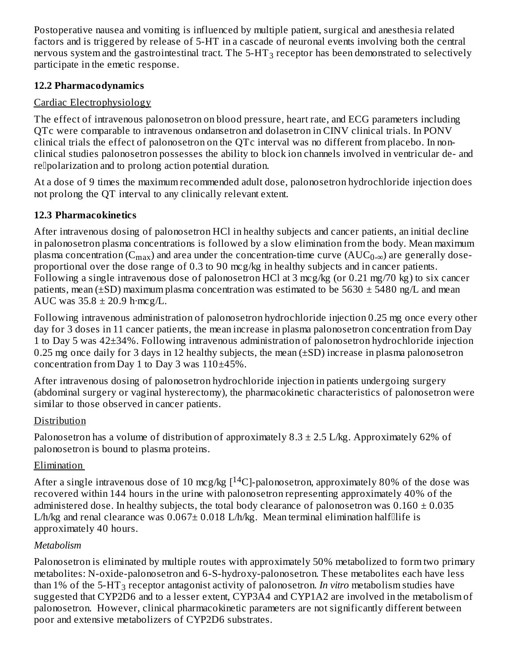Postoperative nausea and vomiting is influenced by multiple patient, surgical and anesthesia related factors and is triggered by release of 5-HT in a cascade of neuronal events involving both the central nervous system and the gastrointestinal tract. The 5-HT $_3$  receptor has been demonstrated to selectively participate in the emetic response.

#### **12.2 Pharmacodynamics**

### Cardiac Electrophysiology

The effect of intravenous palonosetron on blood pressure, heart rate, and ECG parameters including QTc were comparable to intravenous ondansetron and dolasetron in CINV clinical trials. In PONV clinical trials the effect of palonosetron on the QTc interval was no different from placebo. In nonclinical studies palonosetron possesses the ability to block ion channels involved in ventricular de- and re<sup>p</sup>olarization and to prolong action potential duration.

At a dose of 9 times the maximum recommended adult dose, palonosetron hydrochloride injection does not prolong the QT interval to any clinically relevant extent.

### **12.3 Pharmacokinetics**

After intravenous dosing of palonosetron HCl in healthy subjects and cancer patients, an initial decline in palonosetron plasma concentrations is followed by a slow elimination from the body. Mean maximum plasma concentration ( $\rm C_{max}$ ) and area under the concentration-time curve (AUC $_{\rm 0-\infty}$ ) are generally doseproportional over the dose range of 0.3 to 90 mcg/kg in healthy subjects and in cancer patients. Following a single intravenous dose of palonosetron HCl at 3 mcg/kg (or 0.21 mg/70 kg) to six cancer patients, mean ( $\pm$ SD) maximum plasma concentration was estimated to be 5630  $\pm$  5480 ng/L and mean AUC was  $35.8 \pm 20.9$  h·mcg/L.

Following intravenous administration of palonosetron hydrochloride injection 0.25 mg once every other day for 3 doses in 11 cancer patients, the mean increase in plasma palonosetron concentration from Day 1 to Day 5 was 42±34%. Following intravenous administration of palonosetron hydrochloride injection 0.25 mg once daily for 3 days in 12 healthy subjects, the mean  $(\pm SD)$  increase in plasma palonosetron concentration from Day 1 to Day 3 was 110±45%.

After intravenous dosing of palonosetron hydrochloride injection in patients undergoing surgery (abdominal surgery or vaginal hysterectomy), the pharmacokinetic characteristics of palonosetron were similar to those observed in cancer patients.

### Distribution

Palonosetron has a volume of distribution of approximately  $8.3 \pm 2.5$  L/kg. Approximately 62% of palonosetron is bound to plasma proteins.

### Elimination

After a single intravenous dose of 10 mcg/kg [ $^{14}$ C]-palonosetron, approximately 80% of the dose was recovered within 144 hours in the urine with palonosetron representing approximately 40% of the administered dose. In healthy subjects, the total body clearance of palonosetron was  $0.160 \pm 0.035$ L/h/kg and renal clearance was  $0.067 \pm 0.018$  L/h/kg. Mean terminal elimination halfllife is approximately 40 hours.

### *Metabolism*

Palonosetron is eliminated by multiple routes with approximately 50% metabolized to form two primary metabolites: N-oxide-palonosetron and 6-S-hydroxy-palonosetron. These metabolites each have less than 1% of the 5-HT<sub>3</sub> receptor antagonist activity of palonosetron. *In vitro* metabolism studies have suggested that CYP2D6 and to a lesser extent, CYP3A4 and CYP1A2 are involved in the metabolism of palonosetron. However, clinical pharmacokinetic parameters are not significantly different between poor and extensive metabolizers of CYP2D6 substrates.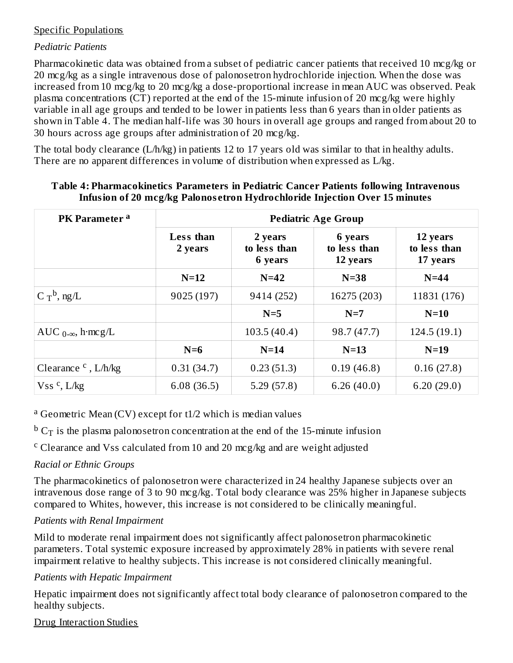#### Specific Populations

#### *Pediatric Patients*

Pharmacokinetic data was obtained from a subset of pediatric cancer patients that received 10 mcg/kg or 20 mcg/kg as a single intravenous dose of palonosetron hydrochloride injection. When the dose was increased from 10 mcg/kg to 20 mcg/kg a dose-proportional increase in mean AUC was observed. Peak plasma concentrations (CT) reported at the end of the 15-minute infusion of 20 mcg/kg were highly variable in all age groups and tended to be lower in patients less than 6 years than in older patients as shown in Table 4. The median half-life was 30 hours in overall age groups and ranged from about 20 to 30 hours across age groups after administration of 20 mcg/kg.

The total body clearance (L/h/kg) in patients 12 to 17 years old was similar to that in healthy adults. There are no apparent differences in volume of distribution when expressed as L/kg.

| PK Parameter <sup>a</sup>     | <b>Pediatric Age Group</b> |                                    |                                     |                                      |  |  |  |  |
|-------------------------------|----------------------------|------------------------------------|-------------------------------------|--------------------------------------|--|--|--|--|
|                               | Less than<br>2 years       | 2 years<br>to less than<br>6 years | 6 years<br>to less than<br>12 years | 12 years<br>to less than<br>17 years |  |  |  |  |
|                               | $N=12$                     | $N=42$                             | $N=38$                              | $N=44$                               |  |  |  |  |
| C $T^b$ , ng/L                | 9025 (197)                 | 9414 (252)                         | 16275 (203)                         | 11831 (176)                          |  |  |  |  |
|                               |                            | $N=5$                              | $N=7$                               | $N=10$                               |  |  |  |  |
| AUC $_{0-\infty}$ , h·mcg/L   |                            | 103.5(40.4)                        | 98.7 (47.7)                         | 124.5(19.1)                          |  |  |  |  |
|                               | $N=6$                      | $N=14$                             | $N=13$                              | $N=19$                               |  |  |  |  |
| Clearance $\text{c}$ , L/h/kg | 0.31(34.7)                 | 0.23(51.3)                         | 0.19(46.8)                          | 0.16(27.8)                           |  |  |  |  |
| $Vss$ <sup>c</sup> , L/kg     | 6.08(36.5)                 | 5.29(57.8)                         | 6.26(40.0)                          | 6.20(29.0)                           |  |  |  |  |

#### **Table 4: Pharmacokinetics Parameters in Pediatric Cancer Patients following Intravenous Infusion of 20 mcg/kg Palonos etron Hydrochloride Injection Over 15 minutes**

<sup>a</sup> Geometric Mean (CV) except for t1/2 which is median values

 $^{\rm b}$  C $_{\rm T}$  is the plasma palonosetron concentration at the end of the 15-minute infusion

<sup>c</sup> Clearance and Vss calculated from 10 and 20 mcg/kg and are weight adjusted

### *Racial or Ethnic Groups*

The pharmacokinetics of palonosetron were characterized in 24 healthy Japanese subjects over an intravenous dose range of 3 to 90 mcg/kg. Total body clearance was 25% higher in Japanese subjects compared to Whites, however, this increase is not considered to be clinically meaningful.

#### *Patients with Renal Impairment*

Mild to moderate renal impairment does not significantly affect palonosetron pharmacokinetic parameters. Total systemic exposure increased by approximately 28% in patients with severe renal impairment relative to healthy subjects. This increase is not considered clinically meaningful.

#### *Patients with Hepatic Impairment*

Hepatic impairment does not significantly affect total body clearance of palonosetron compared to the healthy subjects.

#### Drug Interaction Studies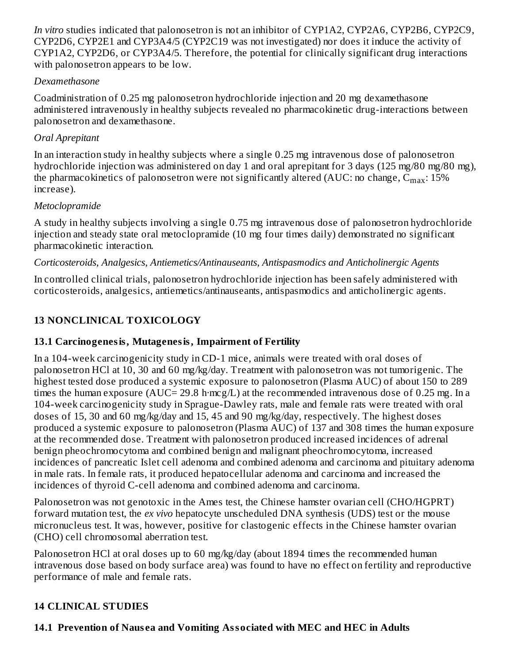*In vitro* studies indicated that palonosetron is not an inhibitor of CYP1A2, CYP2A6, CYP2B6, CYP2C9, CYP2D6, CYP2E1 and CYP3A4/5 (CYP2C19 was not investigated) nor does it induce the activity of CYP1A2, CYP2D6, or CYP3A4/5. Therefore, the potential for clinically significant drug interactions with palonosetron appears to be low.

#### *Dexamethasone*

Coadministration of 0.25 mg palonosetron hydrochloride injection and 20 mg dexamethasone administered intravenously in healthy subjects revealed no pharmacokinetic drug-interactions between palonosetron and dexamethasone.

### *Oral Aprepitant*

In an interaction study in healthy subjects where a single 0.25 mg intravenous dose of palonosetron hydrochloride injection was administered on day 1 and oral aprepitant for 3 days (125 mg/80 mg/80 mg), the pharmacokinetics of palonosetron were not significantly altered (AUC: no change,  $\rm{C_{max}:15\%}$ increase).

### *Metoclopramide*

A study in healthy subjects involving a single 0.75 mg intravenous dose of palonosetron hydrochloride injection and steady state oral metoclopramide (10 mg four times daily) demonstrated no significant pharmacokinetic interaction.

### *Corticosteroids, Analgesics, Antiemetics/Antinauseants, Antispasmodics and Anticholinergic Agents*

In controlled clinical trials, palonosetron hydrochloride injection has been safely administered with corticosteroids, analgesics, antiemetics/antinauseants, antispasmodics and anticholinergic agents.

## **13 NONCLINICAL TOXICOLOGY**

## **13.1 Carcinogenesis, Mutagenesis, Impairment of Fertility**

In a 104-week carcinogenicity study in CD-1 mice, animals were treated with oral doses of palonosetron HCl at 10, 30 and 60 mg/kg/day. Treatment with palonosetron was not tumorigenic. The highest tested dose produced a systemic exposure to palonosetron (Plasma AUC) of about 150 to 289 times the human exposure (AUC= 29.8 h·mcg/L) at the recommended intravenous dose of 0.25 mg. In a 104-week carcinogenicity study in Sprague-Dawley rats, male and female rats were treated with oral doses of 15, 30 and 60 mg/kg/day and 15, 45 and 90 mg/kg/day, respectively. The highest doses produced a systemic exposure to palonosetron (Plasma AUC) of 137 and 308 times the human exposure at the recommended dose. Treatment with palonosetron produced increased incidences of adrenal benign pheochromocytoma and combined benign and malignant pheochromocytoma, increased incidences of pancreatic Islet cell adenoma and combined adenoma and carcinoma and pituitary adenoma in male rats. In female rats, it produced hepatocellular adenoma and carcinoma and increased the incidences of thyroid C-cell adenoma and combined adenoma and carcinoma.

Palonosetron was not genotoxic in the Ames test, the Chinese hamster ovarian cell (CHO/HGPRT) forward mutation test, the *ex vivo* hepatocyte unscheduled DNA synthesis (UDS) test or the mouse micronucleus test. It was, however, positive for clastogenic effects in the Chinese hamster ovarian (CHO) cell chromosomal aberration test.

Palonosetron HCl at oral doses up to 60 mg/kg/day (about 1894 times the recommended human intravenous dose based on body surface area) was found to have no effect on fertility and reproductive performance of male and female rats.

### **14 CLINICAL STUDIES**

## **14.1 Prevention of Naus ea and Vomiting Associated with MEC and HEC in Adults**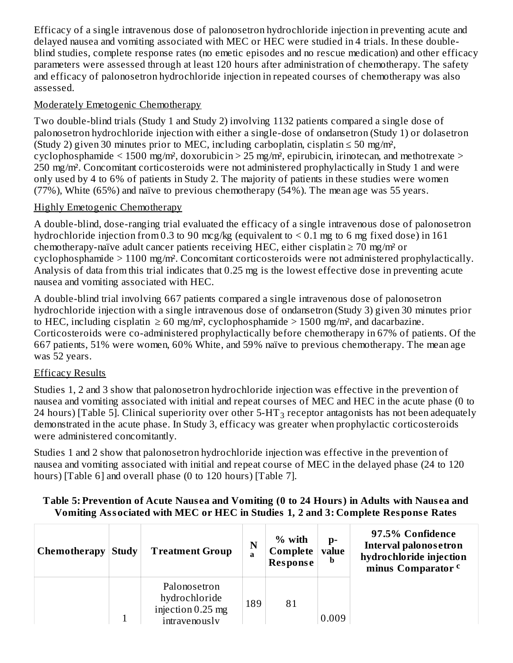Efficacy of a single intravenous dose of palonosetron hydrochloride injection in preventing acute and delayed nausea and vomiting associated with MEC or HEC were studied in 4 trials. In these doubleblind studies, complete response rates (no emetic episodes and no rescue medication) and other efficacy parameters were assessed through at least 120 hours after administration of chemotherapy. The safety and efficacy of palonosetron hydrochloride injection in repeated courses of chemotherapy was also assessed.

### Moderately Emetogenic Chemotherapy

Two double-blind trials (Study 1 and Study 2) involving 1132 patients compared a single dose of palonosetron hydrochloride injection with either a single-dose of ondansetron (Study 1) or dolasetron (Study 2) given 30 minutes prior to MEC, including carboplatin, cisplatin  $\leq 50$  mg/m<sup>2</sup>, cyclophosphamide  $\leq 1500$  mg/m<sup>2</sup>, doxorubicin  $> 25$  mg/m<sup>2</sup>, epirubicin, irinotecan, and methotrexate  $>$ 250 mg/m². Concomitant corticosteroids were not administered prophylactically in Study 1 and were only used by 4 to 6% of patients in Study 2. The majority of patients in these studies were women (77%), White (65%) and naïve to previous chemotherapy (54%). The mean age was 55 years.

### Highly Emetogenic Chemotherapy

A double-blind, dose-ranging trial evaluated the efficacy of a single intravenous dose of palonosetron hydrochloride injection from 0.3 to 90 mcg/kg (equivalent to  $\leq$  0.1 mg to 6 mg fixed dose) in 161 chemotherapy-naïve adult cancer patients receiving HEC, either cisplatin  $\geq$  70 mg/m<sup>2</sup> or cyclophosphamide > 1100 mg/m². Concomitant corticosteroids were not administered prophylactically. Analysis of data from this trial indicates that 0.25 mg is the lowest effective dose in preventing acute nausea and vomiting associated with HEC.

A double-blind trial involving 667 patients compared a single intravenous dose of palonosetron hydrochloride injection with a single intravenous dose of ondansetron (Study 3) given 30 minutes prior to HEC, including cisplatin  $\geq 60$  mg/m<sup>2</sup>, cyclophosphamide  $> 1500$  mg/m<sup>2</sup>, and dacarbazine. Corticosteroids were co-administered prophylactically before chemotherapy in 67% of patients. Of the 667 patients, 51% were women, 60% White, and 59% naïve to previous chemotherapy. The mean age was 52 years.

## Efficacy Results

Studies 1, 2 and 3 show that palonosetron hydrochloride injection was effective in the prevention of nausea and vomiting associated with initial and repeat courses of MEC and HEC in the acute phase (0 to 24 hours) [Table 5]. Clinical superiority over other 5-HT $_3$  receptor antagonists has not been adequately demonstrated in the acute phase. In Study 3, efficacy was greater when prophylactic corticosteroids were administered concomitantly.

Studies 1 and 2 show that palonosetron hydrochloride injection was effective in the prevention of nausea and vomiting associated with initial and repeat course of MEC in the delayed phase (24 to 120 hours) [Table 6] and overall phase (0 to 120 hours) [Table 7].

| , vinimize the control $\alpha$ , the first $\alpha$ is the completed $\alpha$ of $\alpha$ . So in proto from $\beta$ the $\alpha$ |              |                                                                     |        |                                                                         |       |                                                                                                               |  |  |
|------------------------------------------------------------------------------------------------------------------------------------|--------------|---------------------------------------------------------------------|--------|-------------------------------------------------------------------------|-------|---------------------------------------------------------------------------------------------------------------|--|--|
| Chemotherapy                                                                                                                       | <b>Study</b> | <b>Treatment Group</b>                                              | N<br>a | % with<br>$\mathbf{p}$ -<br>Complete  <br>value<br>b<br><b>Response</b> |       | 97.5% Confidence<br><b>Interval palonos etron</b><br>hydrochloride injection<br>minus Comparator <sup>c</sup> |  |  |
|                                                                                                                                    |              | Palonosetron<br>hydrochloride<br>injection 0.25 mg<br>intravenously | 189    | 81                                                                      | 0.009 |                                                                                                               |  |  |

### Table 5: Prevention of Acute Nausea and Vomiting (0 to 24 Hours) in Adults with Nausea and **Vomiting Associated with MEC or HEC in Studies 1, 2 and 3: Complete Respons e Rates**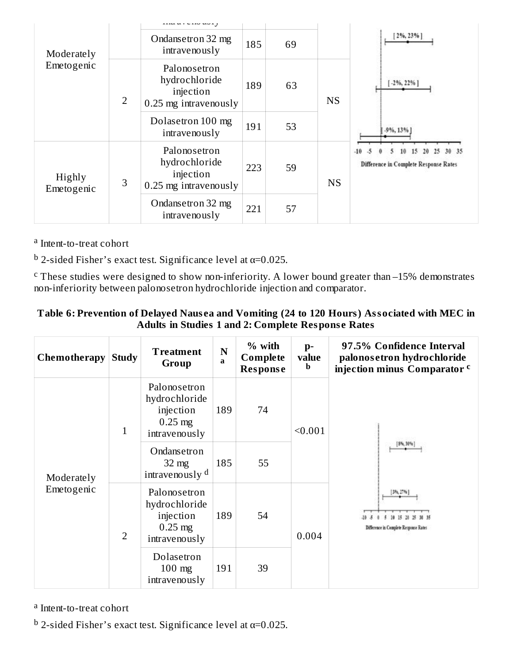|                          |                | ,                                                                     |     |                 |           |                                                |
|--------------------------|----------------|-----------------------------------------------------------------------|-----|-----------------|-----------|------------------------------------------------|
| Moderately<br>Emetogenic |                | Ondansetron 32 mg<br>intravenously                                    | 185 | 69              |           | 2%, 23%                                        |
|                          | $\overline{2}$ | Palonosetron<br>hydrochloride<br>injection<br>0.25 mg intravenously   | 189 | 63<br><b>NS</b> |           | $[-2\%, 22\%]$                                 |
|                          |                | Dolasetron 100 mg<br>intravenously                                    | 191 | 53              |           | $-9\%$ , 13%                                   |
| Highly<br>Emetogenic     | 3              | Palonosetron<br>hydrochloride<br>injection<br>$0.25$ mg intravenously | 223 | 59              | <b>NS</b> | $-10$<br>Difference in Complete Response Rates |
|                          |                | Ondansetron 32 mg<br>intravenously                                    | 221 | 57              |           |                                                |

<sup>a</sup> Intent-to-treat cohort

<sup>b</sup> 2-sided Fisher's exact test. Significance level at α=0.025.

These studies were designed to show non-inferiority. A lower bound greater than –15% demonstrates non-inferiority between palonosetron hydrochloride injection and comparator. c

#### **Table 6: Prevention of Delayed Naus ea and Vomiting (24 to 120 Hours) Associated with MEC in Adults in Studies 1 and 2: Complete Respons e Rates**

| Chemotherapy             | <b>Study</b>   | <b>Treatment</b><br>Group                                                | $\mathbf N$<br>a | % with<br>Complete<br><b>Response</b> | $p-$<br>value<br>b | 97.5% Confidence Interval<br>palonos etron hydrochloride<br>injection minus Comparator c |
|--------------------------|----------------|--------------------------------------------------------------------------|------------------|---------------------------------------|--------------------|------------------------------------------------------------------------------------------|
|                          | $\mathbf{1}$   | Palonosetron<br>hydrochloride<br>injection<br>$0.25$ mg<br>intravenously | 189              | 74                                    | < 0.001            |                                                                                          |
| Moderately<br>Emetogenic |                | Ondansetron<br>$32 \text{ mg}$<br>intravenously <sup>d</sup>             | 185              | 55                                    |                    |                                                                                          |
|                          | $\overline{2}$ | Palonosetron<br>hydrochloride<br>injection<br>$0.25$ mg<br>intravenously | 189              | 54                                    | 0.004              | 3%, 27%<br>Difference in Complete Response Rates                                         |
|                          |                | Dolasetron<br>$100$ mg<br>intravenously                                  | 191              | 39                                    |                    |                                                                                          |

<sup>a</sup> Intent-to-treat cohort

<sup>b</sup> 2-sided Fisher's exact test. Significance level at α=0.025.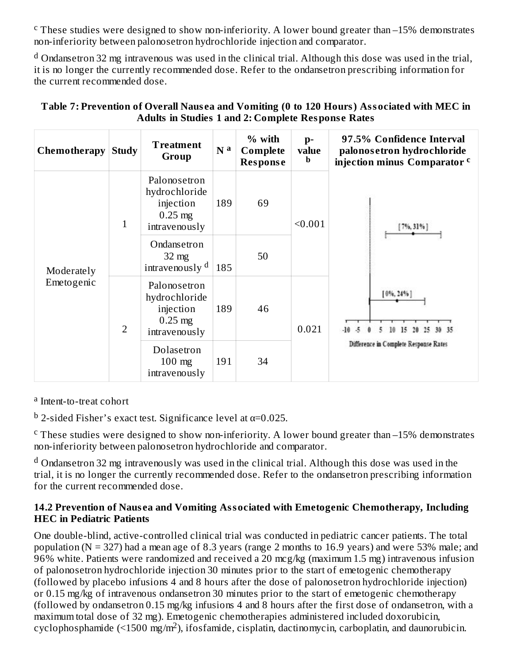$\rm c$  These studies were designed to show non-inferiority. A lower bound greater than  $-15\%$  demonstrates non-inferiority between palonosetron hydrochloride injection and comparator.

 $^{\rm d}$  Ondansetron 32 mg intravenous was used in the clinical trial. Although this dose was used in the trial, it is no longer the currently recommended dose. Refer to the ondansetron prescribing information for the current recommended dose.

| Chemotherapy             | <b>Study</b>   | <b>Treatment</b><br>Group                                                | N <sup>a</sup> | % with<br>Complete<br><b>Response</b> | $p-$<br>value<br>b | 97.5% Confidence Interval<br>palonos etron hydrochloride<br>injection minus Comparator c |
|--------------------------|----------------|--------------------------------------------------------------------------|----------------|---------------------------------------|--------------------|------------------------------------------------------------------------------------------|
|                          | $\mathbf{1}$   | Palonosetron<br>hydrochloride<br>injection<br>$0.25$ mg<br>intravenously | 189            | 69                                    | < 0.001            | $[7\%, 31\%]$                                                                            |
| Moderately<br>Emetogenic |                | Ondansetron<br>$32 \text{ mg}$<br>intravenously d                        | 185            | 50                                    |                    |                                                                                          |
|                          | $\overline{2}$ | Palonosetron<br>hydrochloride<br>injection<br>$0.25$ mg<br>intravenously | 189            | 46                                    | 0.021              | $[0\%, 24\%]$                                                                            |
|                          |                | Dolasetron<br>$100$ mg<br>intravenously                                  | 191            | 34                                    |                    | Difference in Complete Response Rates                                                    |

#### **Table 7: Prevention of Overall Naus ea and Vomiting (0 to 120 Hours) Associated with MEC in Adults in Studies 1 and 2: Complete Respons e Rates**

<sup>a</sup> Intent-to-treat cohort

<sup>b</sup> 2-sided Fisher's exact test. Significance level at α=0.025.

<sup>c</sup> These studies were designed to show non-inferiority. A lower bound greater than  $-15%$  demonstrates non-inferiority between palonosetron hydrochloride and comparator.

 $^{\rm d}$  Ondansetron 32 mg intravenously was used in the clinical trial. Although this dose was used in the trial, it is no longer the currently recommended dose. Refer to the ondansetron prescribing information for the current recommended dose.

#### **14.2 Prevention of Naus ea and Vomiting Associated with Emetogenic Chemotherapy, Including HEC in Pediatric Patients**

One double-blind, active-controlled clinical trial was conducted in pediatric cancer patients. The total population (N = 327) had a mean age of 8.3 years (range 2 months to 16.9 years) and were 53% male; and 96% white. Patients were randomized and received a 20 mcg/kg (maximum 1.5 mg) intravenous infusion of palonosetron hydrochloride injection 30 minutes prior to the start of emetogenic chemotherapy (followed by placebo infusions 4 and 8 hours after the dose of palonosetron hydrochloride injection) or 0.15 mg/kg of intravenous ondansetron 30 minutes prior to the start of emetogenic chemotherapy (followed by ondansetron 0.15 mg/kg infusions 4 and 8 hours after the first dose of ondansetron, with a maximum total dose of 32 mg). Emetogenic chemotherapies administered included doxorubicin,  $cyclophosphamide$  (<1500 mg/m<sup>2</sup>), if os famide, cisplatin, dactinomycin, carboplatin, and daunorubicin.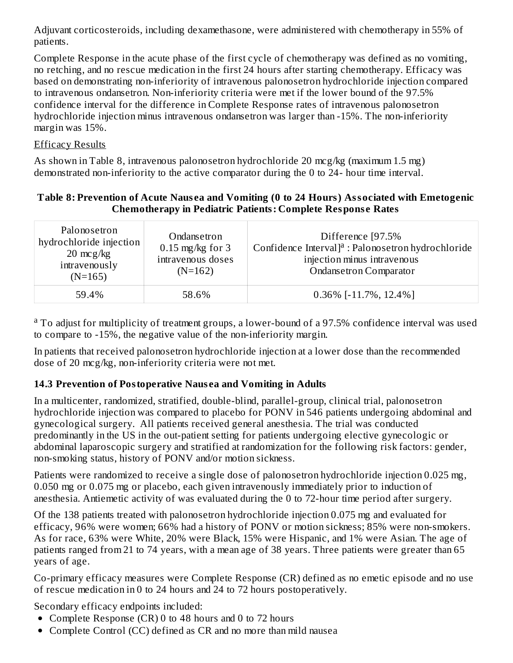Adjuvant corticosteroids, including dexamethasone, were administered with chemotherapy in 55% of patients.

Complete Response in the acute phase of the first cycle of chemotherapy was defined as no vomiting, no retching, and no rescue medication in the first 24 hours after starting chemotherapy. Efficacy was based on demonstrating non-inferiority of intravenous palonosetron hydrochloride injection compared to intravenous ondansetron. Non-inferiority criteria were met if the lower bound of the 97.5% confidence interval for the difference in Complete Response rates of intravenous palonosetron hydrochloride injection minus intravenous ondansetron was larger than -15%. The non-inferiority margin was 15%.

#### Efficacy Results

As shown in Table 8, intravenous palonosetron hydrochloride 20 mcg/kg (maximum 1.5 mg) demonstrated non-inferiority to the active comparator during the 0 to 24- hour time interval.

#### **Table 8: Prevention of Acute Naus ea and Vomiting (0 to 24 Hours) Associated with Emetogenic Chemotherapy in Pediatric Patients: Complete Respons e Rates**

| Palonosetron<br>hydrochloride injection<br>$20 \text{ mcg/kg}$<br>intravenously<br>$(N=165)$ | Ondansetron<br>$0.15$ mg/kg for 3<br>intravenous doses<br>$(N=162)$ | Difference [97.5%<br>Confidence Interval] <sup>a</sup> : Palonosetron hydrochloride<br>injection minus intravenous<br><b>Ondansetron Comparator</b> |
|----------------------------------------------------------------------------------------------|---------------------------------------------------------------------|-----------------------------------------------------------------------------------------------------------------------------------------------------|
| 59.4%                                                                                        | 58.6%                                                               | $0.36\%$ [-11.7%, 12.4%]                                                                                                                            |

<sup>a</sup> To adjust for multiplicity of treatment groups, a lower-bound of a 97.5% confidence interval was used to compare to -15%, the negative value of the non-inferiority margin.

In patients that received palonosetron hydrochloride injection at a lower dose than the recommended dose of 20 mcg/kg, non-inferiority criteria were not met.

### **14.3 Prevention of Postoperative Naus ea and Vomiting in Adults**

In a multicenter, randomized, stratified, double-blind, parallel-group, clinical trial, palonosetron hydrochloride injection was compared to placebo for PONV in 546 patients undergoing abdominal and gynecological surgery. All patients received general anesthesia. The trial was conducted predominantly in the US in the out-patient setting for patients undergoing elective gynecologic or abdominal laparoscopic surgery and stratified at randomization for the following risk factors: gender, non-smoking status, history of PONV and/or motion sickness.

Patients were randomized to receive a single dose of palonosetron hydrochloride injection 0.025 mg, 0.050 mg or 0.075 mg or placebo, each given intravenously immediately prior to induction of anesthesia. Antiemetic activity of was evaluated during the 0 to 72-hour time period after surgery.

Of the 138 patients treated with palonosetron hydrochloride injection 0.075 mg and evaluated for efficacy, 96% were women; 66% had a history of PONV or motion sickness; 85% were non-smokers. As for race, 63% were White, 20% were Black, 15% were Hispanic, and 1% were Asian. The age of patients ranged from 21 to 74 years, with a mean age of 38 years. Three patients were greater than 65 years of age.

Co-primary efficacy measures were Complete Response (CR) defined as no emetic episode and no use of rescue medication in 0 to 24 hours and 24 to 72 hours postoperatively.

Secondary efficacy endpoints included:

- Complete Response (CR) 0 to 48 hours and 0 to 72 hours
- Complete Control (CC) defined as CR and no more than mild nausea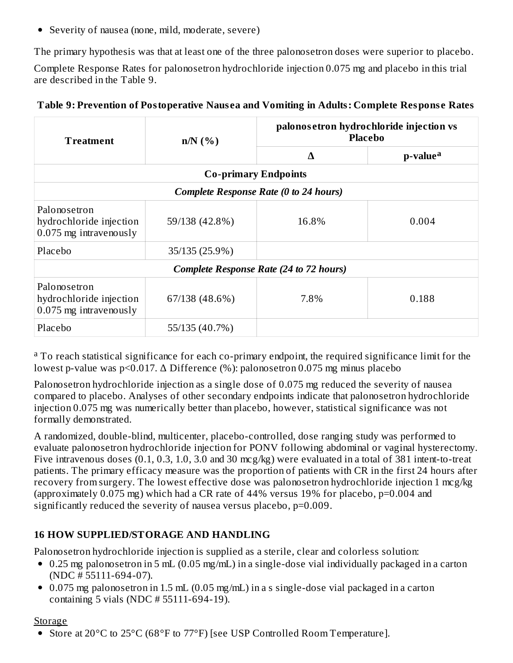Severity of nausea (none, mild, moderate, severe)

The primary hypothesis was that at least one of the three palonosetron doses were superior to placebo.

Complete Response Rates for palonosetron hydrochloride injection 0.075 mg and placebo in this trial are described in the Table 9.

| Table 9: Prevention of Postoperative Nausea and Vomiting in Adults: Complete Response Rates |  |  |
|---------------------------------------------------------------------------------------------|--|--|
|---------------------------------------------------------------------------------------------|--|--|

| <b>Treatment</b>                                                    | $n/N$ (%)                   | palonos etron hydrochloride injection vs<br><b>Placebo</b> |                      |  |
|---------------------------------------------------------------------|-----------------------------|------------------------------------------------------------|----------------------|--|
|                                                                     |                             | Δ                                                          | p-value <sup>a</sup> |  |
|                                                                     | <b>Co-primary Endpoints</b> |                                                            |                      |  |
| <b>Complete Response Rate (0 to 24 hours)</b>                       |                             |                                                            |                      |  |
| Palonosetron<br>hydrochloride injection<br>$0.075$ mg intravenously | 59/138 (42.8%)              | 16.8%                                                      | 0.004                |  |
| Placebo                                                             | 35/135 (25.9%)              |                                                            |                      |  |
| <b>Complete Response Rate (24 to 72 hours)</b>                      |                             |                                                            |                      |  |
| Palonosetron<br>hydrochloride injection<br>$0.075$ mg intravenously | 67/138 (48.6%)              | 7.8%                                                       | 0.188                |  |
| Placebo<br>55/135 (40.7%)                                           |                             |                                                            |                      |  |

<sup>a</sup> To reach statistical significance for each co-primary endpoint, the required significance limit for the lowest p-value was p<0.017. Δ Difference (%): palonosetron 0.075 mg minus placebo

Palonosetron hydrochloride injection as a single dose of 0.075 mg reduced the severity of nausea compared to placebo. Analyses of other secondary endpoints indicate that palonosetron hydrochloride injection 0.075 mg was numerically better than placebo, however, statistical significance was not formally demonstrated.

A randomized, double-blind, multicenter, placebo-controlled, dose ranging study was performed to evaluate palonosetron hydrochloride injection for PONV following abdominal or vaginal hysterectomy. Five intravenous doses (0.1, 0.3, 1.0, 3.0 and 30 mcg/kg) were evaluated in a total of 381 intent-to-treat patients. The primary efficacy measure was the proportion of patients with CR in the first 24 hours after recovery from surgery. The lowest effective dose was palonosetron hydrochloride injection 1 mcg/kg (approximately 0.075 mg) which had a CR rate of 44% versus 19% for placebo, p=0.004 and significantly reduced the severity of nausea versus placebo, p=0.009.

## **16 HOW SUPPLIED/STORAGE AND HANDLING**

Palonosetron hydrochloride injection is supplied as a sterile, clear and colorless solution:

- 0.25 mg palonosetron in 5 mL (0.05 mg/mL) in a single-dose vial individually packaged in a carton (NDC # 55111-694-07).
- 0.075 mg palonosetron in 1.5 mL (0.05 mg/mL) in a s single-dose vial packaged in a carton containing 5 vials (NDC # 55111-694-19).

#### **Storage**

• Store at 20°C to 25°C (68°F to 77°F) [see USP Controlled Room Temperature].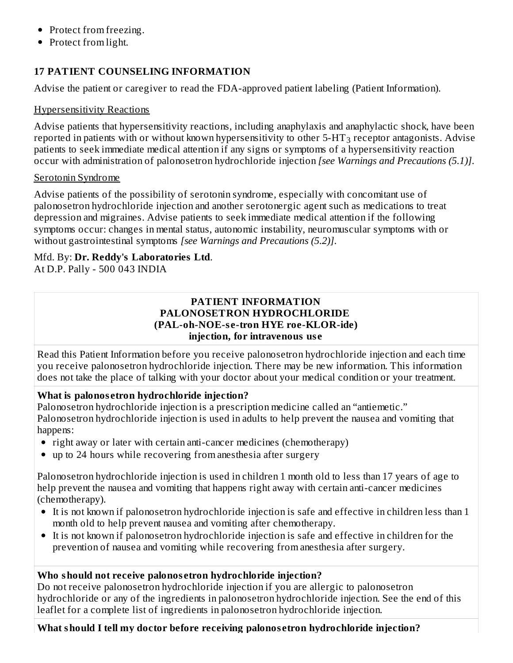- Protect from freezing.
- Protect from light.

### **17 PATIENT COUNSELING INFORMATION**

Advise the patient or caregiver to read the FDA-approved patient labeling (Patient Information).

#### Hypersensitivity Reactions

Advise patients that hypersensitivity reactions, including anaphylaxis and anaphylactic shock, have been reported in patients with or without known hypersensitivity to other 5-HT $_3$  receptor antagonists. Advise patients to seek immediate medical attention if any signs or symptoms of a hypersensitivity reaction occur with administration of palonosetron hydrochloride injection *[see Warnings and Precautions (5.1)]*.

#### Serotonin Syndrome

Advise patients of the possibility of serotonin syndrome, especially with concomitant use of palonosetron hydrochloride injection and another serotonergic agent such as medications to treat depression and migraines. Advise patients to seek immediate medical attention if the following symptoms occur: changes in mental status, autonomic instability, neuromuscular symptoms with or without gastrointestinal symptoms *[see Warnings and Precautions (5.2)]*.

# Mfd. By: **Dr. Reddy's Laboratories Ltd**.

At D.P. Pally - 500 043 INDIA

#### **PATIENT INFORMATION PALONOSETRON HYDROCHLORIDE (PAL-oh-NOE-s e-tron HYE roe-KLOR-ide) injection, for intravenous us e**

Read this Patient Information before you receive palonosetron hydrochloride injection and each time you receive palonosetron hydrochloride injection. There may be new information. This information does not take the place of talking with your doctor about your medical condition or your treatment.

### **What is palonos etron hydrochloride injection?**

Palonosetron hydrochloride injection is a prescription medicine called an "antiemetic." Palonosetron hydrochloride injection is used in adults to help prevent the nausea and vomiting that happens:

- right away or later with certain anti-cancer medicines (chemotherapy)
- up to 24 hours while recovering from anesthesia after surgery

Palonosetron hydrochloride injection is used in children 1 month old to less than 17 years of age to help prevent the nausea and vomiting that happens right away with certain anti-cancer medicines (chemotherapy).

- It is not known if palonosetron hydrochloride injection is safe and effective in children less than 1 month old to help prevent nausea and vomiting after chemotherapy.
- It is not known if palonosetron hydrochloride injection is safe and effective in children for the prevention of nausea and vomiting while recovering from anesthesia after surgery.

### **Who should not receive palonos etron hydrochloride injection?**

Do not receive palonosetron hydrochloride injection if you are allergic to palonosetron hydrochloride or any of the ingredients in palonosetron hydrochloride injection. See the end of this leaflet for a complete list of ingredients in palonosetron hydrochloride injection.

**What should I tell my doctor before receiving palonos etron hydrochloride injection?**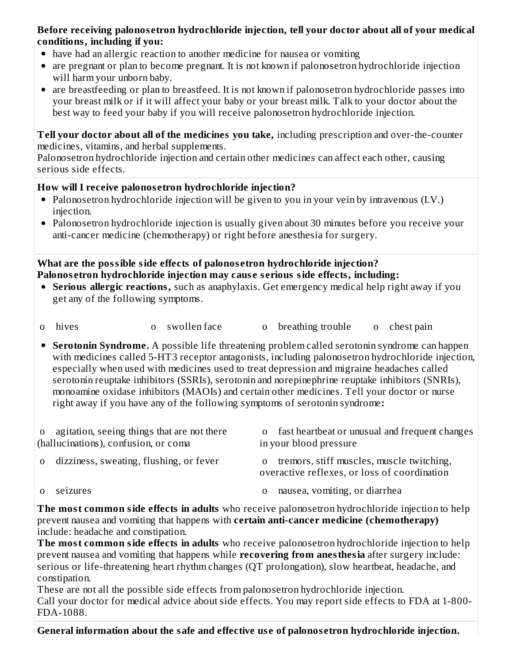#### **Before receiving palonos etron hydrochloride injection, tell your doctor about all of your medical conditions, including if you:**

- have had an allergic reaction to another medicine for nausea or vomiting
- are pregnant or plan to become pregnant. It is not known if palonosetron hydrochloride injection will harm your unborn baby.
- are breastfeeding or plan to breastfeed. It is not known if palonosetron hydrochloride passes into your breast milk or if it will affect your baby or your breast milk. Talk to your doctor about the best way to feed your baby if you will receive palonosetron hydrochloride injection.

**Tell your doctor about all of the medicines you take,** including prescription and over-the-counter medicines, vitamins, and herbal supplements.

Palonosetron hydrochloride injection and certain other medicines can affect each other, causing serious side effects.

### **How will I receive palonos etron hydrochloride injection?**

- Palonosetron hydrochloride injection will be given to you in your vein by intravenous (I.V.) injection.
- Palonosetron hydrochloride injection is usually given about 30 minutes before you receive your anti-cancer medicine (chemotherapy) or right before anesthesia for surgery.

**What are the possible side effects of palonos etron hydrochloride injection? Palonos etron hydrochloride injection may caus e s erious side effects, including:**

- **Serious allergic reactions,** such as anaphylaxis. Get emergency medical help right away if you get any of the following symptoms.
- o hives o swollen face o breathing trouble o chest pain

**Serotonin Syndrome.** A possible life threatening problem called serotonin syndrome can happen with medicines called 5-HT3 receptor antagonists, including palonosetron hydrochloride injection, especially when used with medicines used to treat depression and migraine headaches called serotonin reuptake inhibitors (SSRIs), serotonin and norepinephrine reuptake inhibitors (SNRIs), monoamine oxidase inhibitors (MAOIs) and certain other medicines. Tell your doctor or nurse right away if you have any of the following symptoms of serotonin syndrome**:**

| o agitation, seeing things that are not there<br>(hallucinations), confusion, or coma | o fast heartbeat or unusual and frequent changes<br>in your blood pressure                            |
|---------------------------------------------------------------------------------------|-------------------------------------------------------------------------------------------------------|
| o dizziness, sweating, flushing, or fever                                             | tremors, stiff muscles, muscle twitching,<br>$\Omega$<br>overactive reflexes, or loss of coordination |
|                                                                                       |                                                                                                       |

- 
- o seizures o nausea, vomiting, or diarrhea

**The most common side effects in adults** who receive palonosetron hydrochloride injection to help prevent nausea and vomiting that happens with **certain anti-cancer medicine (chemotherapy)** include: headache and constipation.

**The most common side effects in adults** who receive palonosetron hydrochloride injection to help prevent nausea and vomiting that happens while **recovering from anesthesia** after surgery include: serious or life-threatening heart rhythm changes (QT prolongation), slow heartbeat, headache, and constipation.

These are not all the possible side effects from palonosetron hydrochloride injection. Call your doctor for medical advice about side effects. You may report side effects to FDA at 1-800- FDA-1088.

**General information about the safe and effective us e of palonos etron hydrochloride injection.**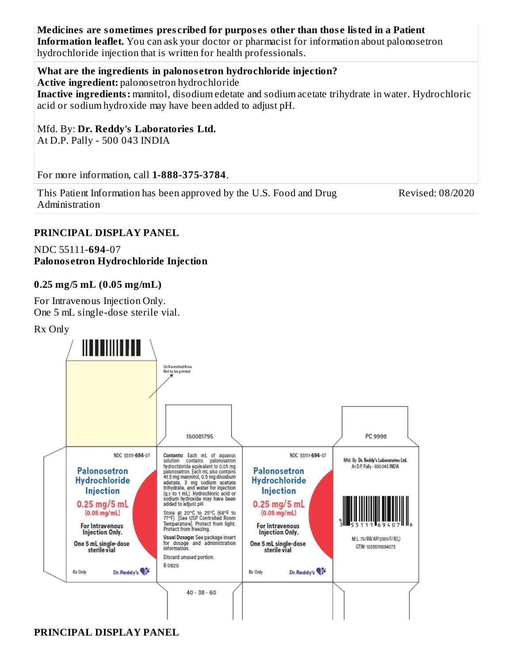#### **Medicines are sometimes pres cribed for purpos es other than thos e listed in a Patient Information leaflet.** You can ask your doctor or pharmacist for information about palonosetron hydrochloride injection that is written for health professionals.

#### **What are the ingredients in palonos etron hydrochloride injection?**

**Active ingredient:** palonosetron hydrochloride

**Inactive ingredients:** mannitol, disodium edetate and sodium acetate trihydrate in water. Hydrochloric acid or sodium hydroxide may have been added to adjust pH.

Mfd. By: **Dr. Reddy's Laboratories Ltd.** At D.P. Pally - 500 043 INDIA

For more information, call **1-888-375-3784**.

This Patient Information has been approved by the U.S. Food and Drug Administration

Revised: 08/2020

#### **PRINCIPAL DISPLAY PANEL**

NDC 55111-**694**-07 **Palonos etron Hydrochloride Injection**

#### **0.25 mg/5 mL (0.05 mg/mL)**

For Intravenous Injection Only. One 5 mL single-dose sterile vial.

#### Rx Only



#### **PRINCIPAL DISPLAY PANEL**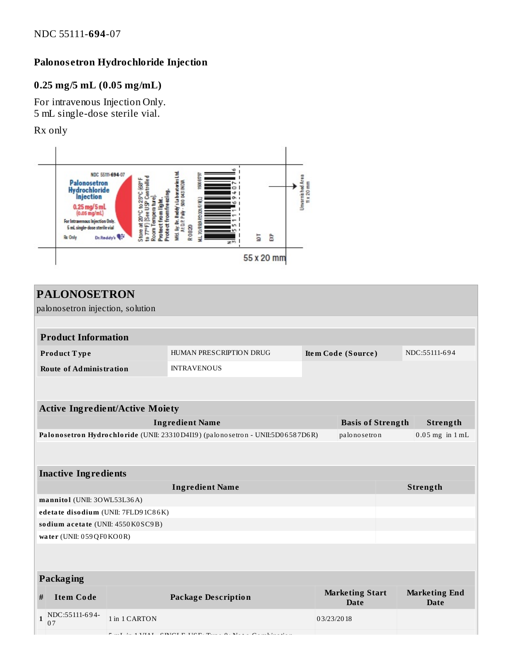## **Palonos etron Hydrochloride Injection**

### **0.25 mg/5 mL (0.05 mg/mL)**

For intravenous Injection Only. 5 mL single-dose sterile vial.

Rx only



|              | <b>PALONOSETRON</b><br>palonosetron injection, solution                                                                |                                               |                                                                 |            |                                       |  |                                     |
|--------------|------------------------------------------------------------------------------------------------------------------------|-----------------------------------------------|-----------------------------------------------------------------|------------|---------------------------------------|--|-------------------------------------|
|              |                                                                                                                        |                                               |                                                                 |            |                                       |  |                                     |
|              | <b>Product Information</b>                                                                                             |                                               |                                                                 |            |                                       |  |                                     |
|              | Product Type                                                                                                           | HUMAN PRESCRIPTION DRUG<br>Item Code (Source) |                                                                 |            | NDC:55111-694                         |  |                                     |
|              | <b>Route of Administration</b>                                                                                         |                                               | <b>INTRAVENOUS</b>                                              |            |                                       |  |                                     |
|              |                                                                                                                        |                                               |                                                                 |            |                                       |  |                                     |
|              |                                                                                                                        |                                               |                                                                 |            |                                       |  |                                     |
|              | <b>Active Ingredient/Active Moiety</b>                                                                                 |                                               |                                                                 |            |                                       |  |                                     |
|              | <b>Ingredient Name</b><br><b>Basis of Strength</b><br>Strength                                                         |                                               |                                                                 |            |                                       |  |                                     |
|              | Palonosetron Hydrochloride (UNII: 23310 D4I19) (palonosetron - UNII:5D06587D6R)<br>palonosetron<br>$0.05$ mg in $1$ mL |                                               |                                                                 |            |                                       |  |                                     |
|              |                                                                                                                        |                                               |                                                                 |            |                                       |  |                                     |
|              | <b>Inactive Ingredients</b>                                                                                            |                                               |                                                                 |            |                                       |  |                                     |
|              | <b>Ingredient Name</b><br>Strength                                                                                     |                                               |                                                                 |            |                                       |  |                                     |
|              | mannitol (UNII: 30WL53L36A)                                                                                            |                                               |                                                                 |            |                                       |  |                                     |
|              | edetate disodium (UNII: 7FLD91C86K)                                                                                    |                                               |                                                                 |            |                                       |  |                                     |
|              | sodium acetate (UNII: 4550K0SC9B)                                                                                      |                                               |                                                                 |            |                                       |  |                                     |
|              | water (UNII: 059QF0KO0R)                                                                                               |                                               |                                                                 |            |                                       |  |                                     |
|              |                                                                                                                        |                                               |                                                                 |            |                                       |  |                                     |
|              |                                                                                                                        |                                               |                                                                 |            |                                       |  |                                     |
| Packaging    |                                                                                                                        |                                               |                                                                 |            |                                       |  |                                     |
| #            | <b>Item Code</b>                                                                                                       |                                               | <b>Package Description</b>                                      |            | <b>Marketing Start</b><br><b>Date</b> |  | <b>Marketing End</b><br><b>Date</b> |
| $\mathbf{1}$ | NDC:55111-694-<br>07                                                                                                   | 1 in 1 CARTON                                 |                                                                 | 03/23/2018 |                                       |  |                                     |
|              |                                                                                                                        |                                               | $F_{\text{ref}}$ is 1 MM. CINCLE HCP. Thus, 0. Nets Cambination |            |                                       |  |                                     |